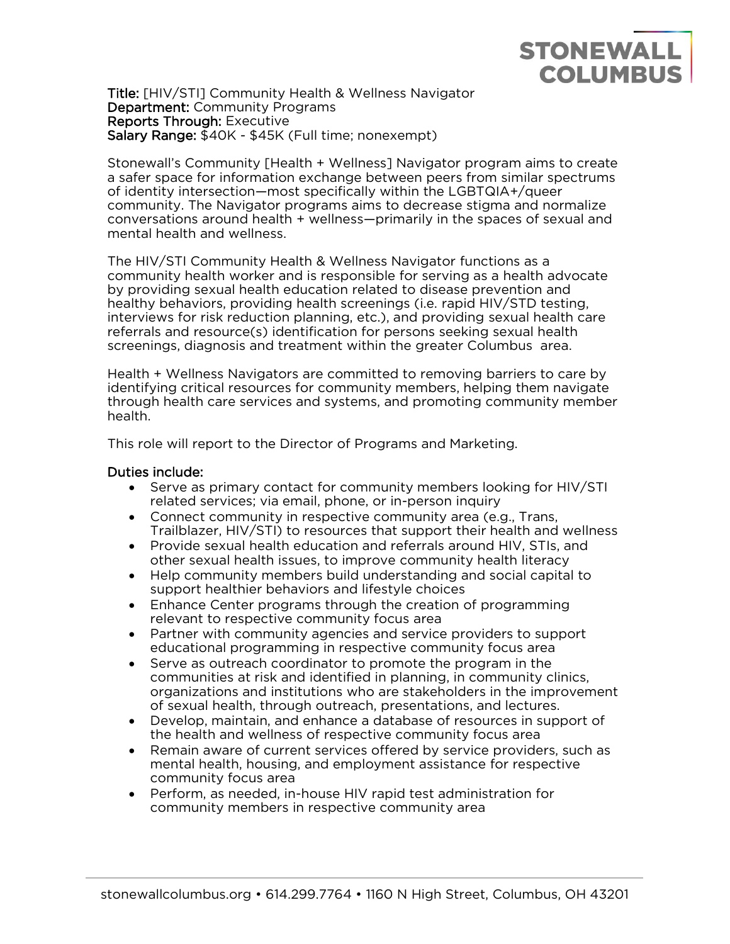# **STONEWALL COLUMBUS**

Title: [HIV/STI] Community Health & Wellness Navigator Department: Community Programs Reports Through: Executive Salary Range: \$40K - \$45K (Full time; nonexempt)

Stonewall's Community [Health + Wellness] Navigator program aims to create a safer space for information exchange between peers from similar spectrums of identity intersection—most specifically within the LGBTQIA+/queer community. The Navigator programs aims to decrease stigma and normalize conversations around health + wellness—primarily in the spaces of sexual and mental health and wellness.

The HIV/STI Community Health & Wellness Navigator functions as a community health worker and is responsible for serving as a health advocate by providing sexual health education related to disease prevention and healthy behaviors, providing health screenings (i.e. rapid HIV/STD testing, interviews for risk reduction planning, etc.), and providing sexual health care referrals and resource(s) identification for persons seeking sexual health screenings, diagnosis and treatment within the greater Columbus area.

Health + Wellness Navigators are committed to removing barriers to care by identifying critical resources for community members, helping them navigate through health care services and systems, and promoting community member health.

This role will report to the Director of Programs and Marketing.

#### Duties include:

- Serve as primary contact for community members looking for HIV/STI related services; via email, phone, or in-person inquiry
- Connect community in respective community area (e.g., Trans, Trailblazer, HIV/STI) to resources that support their health and wellness
- Provide sexual health education and referrals around HIV, STIs, and other sexual health issues, to improve community health literacy
- Help community members build understanding and social capital to support healthier behaviors and lifestyle choices
- Enhance Center programs through the creation of programming relevant to respective community focus area
- Partner with community agencies and service providers to support educational programming in respective community focus area
- Serve as outreach coordinator to promote the program in the communities at risk and identified in planning, in community clinics, organizations and institutions who are stakeholders in the improvement of sexual health, through outreach, presentations, and lectures.
- Develop, maintain, and enhance a database of resources in support of the health and wellness of respective community focus area
- Remain aware of current services offered by service providers, such as mental health, housing, and employment assistance for respective community focus area
- Perform, as needed, in-house HIV rapid test administration for community members in respective community area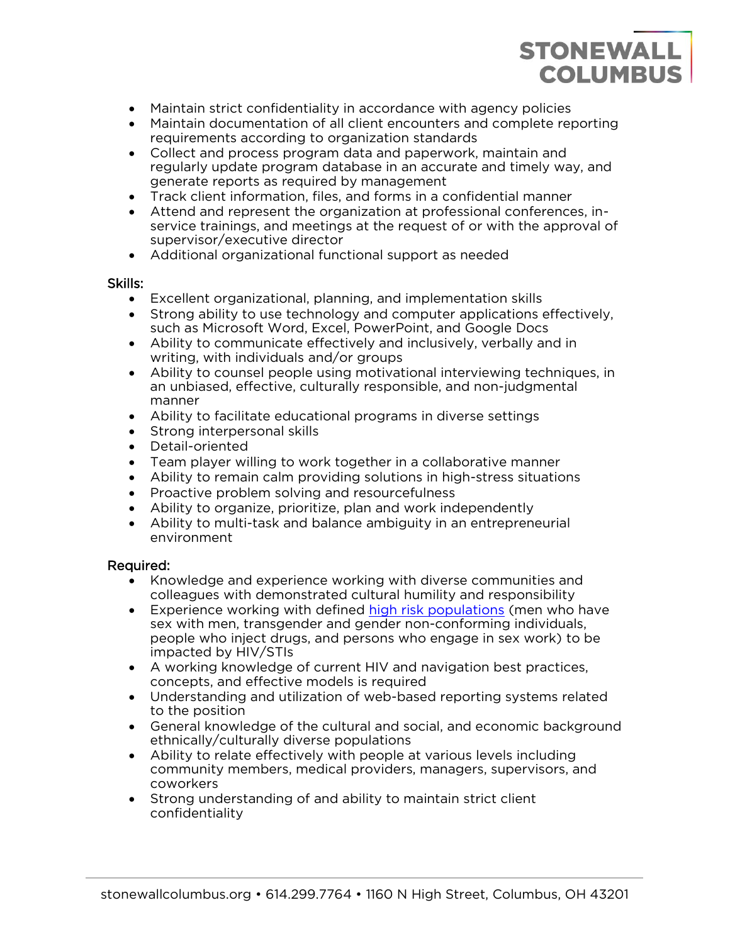# **STONEWALL COLUMBUS**

- Maintain strict confidentiality in accordance with agency policies
- Maintain documentation of all client encounters and complete reporting requirements according to organization standards
- Collect and process program data and paperwork, maintain and regularly update program database in an accurate and timely way, and generate reports as required by management
- Track client information, files, and forms in a confidential manner
- Attend and represent the organization at professional conferences, inservice trainings, and meetings at the request of or with the approval of supervisor/executive director
- Additional organizational functional support as needed

#### Skills:

- Excellent organizational, planning, and implementation skills
- Strong ability to use technology and computer applications effectively, such as Microsoft Word, Excel, PowerPoint, and Google Docs
- Ability to communicate effectively and inclusively, verbally and in writing, with individuals and/or groups
- Ability to counsel people using motivational interviewing techniques, in an unbiased, effective, culturally responsible, and non-judgmental manner
- Ability to facilitate educational programs in diverse settings
- Strong interpersonal skills
- Detail-oriented
- Team player willing to work together in a collaborative manner
- Ability to remain calm providing solutions in high-stress situations
- Proactive problem solving and resourcefulness
- Ability to organize, prioritize, plan and work independently
- Ability to multi-task and balance ambiguity in an entrepreneurial environment

## Required:

- Knowledge and experience working with diverse communities and colleagues with demonstrated cultural humility and responsibility
- Experience working with defined [high risk populations](https://www.hiv.gov/hiv-basics/overview/about-hiv-and-aids/who-is-at-risk-for-hiv) (men who have sex with men, transgender and gender non-conforming individuals, people who inject drugs, and persons who engage in sex work) to be impacted by HIV/STIs
- A working knowledge of current HIV and navigation best practices, concepts, and effective models is required
- Understanding and utilization of web-based reporting systems related to the position
- General knowledge of the cultural and social, and economic background ethnically/culturally diverse populations
- Ability to relate effectively with people at various levels including community members, medical providers, managers, supervisors, and coworkers
- Strong understanding of and ability to maintain strict client confidentiality